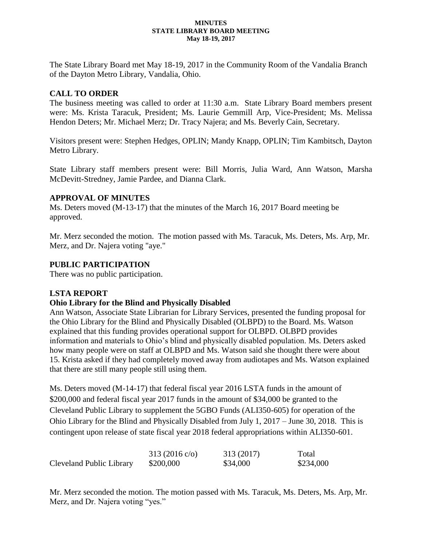#### **MINUTES STATE LIBRARY BOARD MEETING May 18-19, 2017**

The State Library Board met May 18-19, 2017 in the Community Room of the Vandalia Branch of the Dayton Metro Library, Vandalia, Ohio.

## **CALL TO ORDER**

The business meeting was called to order at 11:30 a.m. State Library Board members present were: Ms. Krista Taracuk, President; Ms. Laurie Gemmill Arp, Vice-President; Ms. Melissa Hendon Deters; Mr. Michael Merz; Dr. Tracy Najera; and Ms. Beverly Cain, Secretary.

Visitors present were: Stephen Hedges, OPLIN; Mandy Knapp, OPLIN; Tim Kambitsch, Dayton Metro Library.

State Library staff members present were: Bill Morris, Julia Ward, Ann Watson, Marsha McDevitt-Stredney, Jamie Pardee, and Dianna Clark.

### **APPROVAL OF MINUTES**

Ms. Deters moved (M-13-17) that the minutes of the March 16, 2017 Board meeting be approved.

Mr. Merz seconded the motion. The motion passed with Ms. Taracuk, Ms. Deters, Ms. Arp, Mr. Merz, and Dr. Najera voting "aye."

### **PUBLIC PARTICIPATION**

There was no public participation.

### **LSTA REPORT**

### **Ohio Library for the Blind and Physically Disabled**

Ann Watson, Associate State Librarian for Library Services, presented the funding proposal for the Ohio Library for the Blind and Physically Disabled (OLBPD) to the Board. Ms. Watson explained that this funding provides operational support for OLBPD. OLBPD provides information and materials to Ohio's blind and physically disabled population. Ms. Deters asked how many people were on staff at OLBPD and Ms. Watson said she thought there were about 15. Krista asked if they had completely moved away from audiotapes and Ms. Watson explained that there are still many people still using them.

Ms. Deters moved (M-14-17) that federal fiscal year 2016 LSTA funds in the amount of \$200,000 and federal fiscal year 2017 funds in the amount of \$34,000 be granted to the Cleveland Public Library to supplement the 5GBO Funds (ALI350-605) for operation of the Ohio Library for the Blind and Physically Disabled from July 1, 2017 – June 30, 2018. This is contingent upon release of state fiscal year 2018 federal appropriations within ALI350-601.

|                          | $313(2016 \text{ c/o})$ | 313 (2017) | Total     |
|--------------------------|-------------------------|------------|-----------|
| Cleveland Public Library | \$200,000               | \$34,000   | \$234,000 |

Mr. Merz seconded the motion. The motion passed with Ms. Taracuk, Ms. Deters, Ms. Arp, Mr. Merz, and Dr. Najera voting "yes."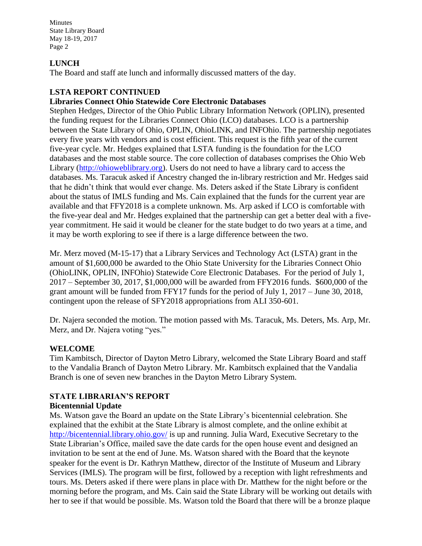### **LUNCH**

The Board and staff ate lunch and informally discussed matters of the day.

## **LSTA REPORT CONTINUED**

## **Libraries Connect Ohio Statewide Core Electronic Databases**

Stephen Hedges, Director of the Ohio Public Library Information Network (OPLIN), presented the funding request for the Libraries Connect Ohio (LCO) databases. LCO is a partnership between the State Library of Ohio, OPLIN, OhioLINK, and INFOhio. The partnership negotiates every five years with vendors and is cost efficient. This request is the fifth year of the current five-year cycle. Mr. Hedges explained that LSTA funding is the foundation for the LCO databases and the most stable source. The core collection of databases comprises the Ohio Web Library [\(http://ohioweblibrary.org\)](http://ohioweblibrary.org/). Users do not need to have a library card to access the databases. Ms. Taracuk asked if Ancestry changed the in-library restriction and Mr. Hedges said that he didn't think that would ever change. Ms. Deters asked if the State Library is confident about the status of IMLS funding and Ms. Cain explained that the funds for the current year are available and that FFY2018 is a complete unknown. Ms. Arp asked if LCO is comfortable with the five-year deal and Mr. Hedges explained that the partnership can get a better deal with a fiveyear commitment. He said it would be cleaner for the state budget to do two years at a time, and it may be worth exploring to see if there is a large difference between the two.

Mr. Merz moved (M-15-17) that a Library Services and Technology Act (LSTA) grant in the amount of \$1,600,000 be awarded to the Ohio State University for the Libraries Connect Ohio (OhioLINK, OPLIN, INFOhio) Statewide Core Electronic Databases. For the period of July 1, 2017 – September 30, 2017, \$1,000,000 will be awarded from FFY2016 funds. \$600,000 of the grant amount will be funded from FFY17 funds for the period of July 1, 2017 – June 30, 2018, contingent upon the release of SFY2018 appropriations from ALI 350-601.

Dr. Najera seconded the motion. The motion passed with Ms. Taracuk, Ms. Deters, Ms. Arp, Mr. Merz, and Dr. Najera voting "yes."

### **WELCOME**

Tim Kambitsch, Director of Dayton Metro Library, welcomed the State Library Board and staff to the Vandalia Branch of Dayton Metro Library. Mr. Kambitsch explained that the Vandalia Branch is one of seven new branches in the Dayton Metro Library System.

### **STATE LIBRARIAN'S REPORT Bicentennial Update**

Ms. Watson gave the Board an update on the State Library's bicentennial celebration. She explained that the exhibit at the State Library is almost complete, and the online exhibit at <http://bicentennial.library.ohio.gov/> is up and running. Julia Ward, Executive Secretary to the State Librarian's Office, mailed save the date cards for the open house event and designed an invitation to be sent at the end of June. Ms. Watson shared with the Board that the keynote speaker for the event is Dr. Kathryn Matthew, director of the Institute of Museum and Library Services (IMLS). The program will be first, followed by a reception with light refreshments and tours. Ms. Deters asked if there were plans in place with Dr. Matthew for the night before or the morning before the program, and Ms. Cain said the State Library will be working out details with her to see if that would be possible. Ms. Watson told the Board that there will be a bronze plaque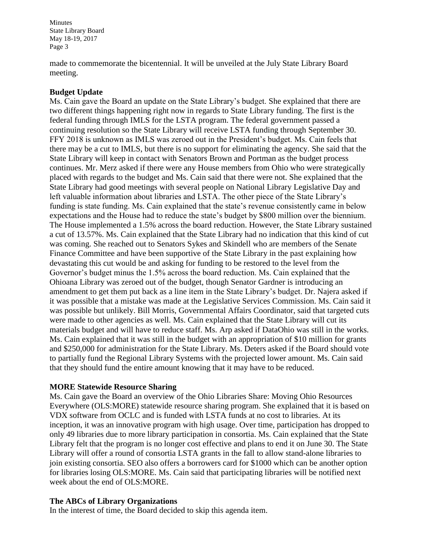made to commemorate the bicentennial. It will be unveiled at the July State Library Board meeting.

### **Budget Update**

Ms. Cain gave the Board an update on the State Library's budget. She explained that there are two different things happening right now in regards to State Library funding. The first is the federal funding through IMLS for the LSTA program. The federal government passed a continuing resolution so the State Library will receive LSTA funding through September 30. FFY 2018 is unknown as IMLS was zeroed out in the President's budget. Ms. Cain feels that there may be a cut to IMLS, but there is no support for eliminating the agency. She said that the State Library will keep in contact with Senators Brown and Portman as the budget process continues. Mr. Merz asked if there were any House members from Ohio who were strategically placed with regards to the budget and Ms. Cain said that there were not. She explained that the State Library had good meetings with several people on National Library Legislative Day and left valuable information about libraries and LSTA. The other piece of the State Library's funding is state funding. Ms. Cain explained that the state's revenue consistently came in below expectations and the House had to reduce the state's budget by \$800 million over the biennium. The House implemented a 1.5% across the board reduction. However, the State Library sustained a cut of 13.57%. Ms. Cain explained that the State Library had no indication that this kind of cut was coming. She reached out to Senators Sykes and Skindell who are members of the Senate Finance Committee and have been supportive of the State Library in the past explaining how devastating this cut would be and asking for funding to be restored to the level from the Governor's budget minus the 1.5% across the board reduction. Ms. Cain explained that the Ohioana Library was zeroed out of the budget, though Senator Gardner is introducing an amendment to get them put back as a line item in the State Library's budget. Dr. Najera asked if it was possible that a mistake was made at the Legislative Services Commission. Ms. Cain said it was possible but unlikely. Bill Morris, Governmental Affairs Coordinator, said that targeted cuts were made to other agencies as well. Ms. Cain explained that the State Library will cut its materials budget and will have to reduce staff. Ms. Arp asked if DataOhio was still in the works. Ms. Cain explained that it was still in the budget with an appropriation of \$10 million for grants and \$250,000 for administration for the State Library. Ms. Deters asked if the Board should vote to partially fund the Regional Library Systems with the projected lower amount. Ms. Cain said that they should fund the entire amount knowing that it may have to be reduced.

### **MORE Statewide Resource Sharing**

Ms. Cain gave the Board an overview of the Ohio Libraries Share: Moving Ohio Resources Everywhere (OLS:MORE) statewide resource sharing program. She explained that it is based on VDX software from OCLC and is funded with LSTA funds at no cost to libraries. At its inception, it was an innovative program with high usage. Over time, participation has dropped to only 49 libraries due to more library participation in consortia. Ms. Cain explained that the State Library felt that the program is no longer cost effective and plans to end it on June 30. The State Library will offer a round of consortia LSTA grants in the fall to allow stand-alone libraries to join existing consortia. SEO also offers a borrowers card for \$1000 which can be another option for libraries losing OLS:MORE. Ms. Cain said that participating libraries will be notified next week about the end of OLS:MORE.

# **The ABCs of Library Organizations**

In the interest of time, the Board decided to skip this agenda item.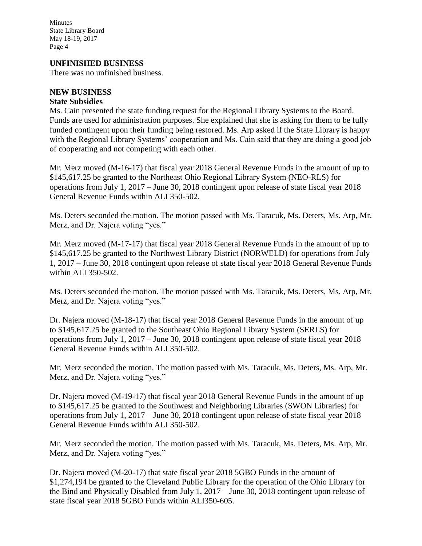#### **UNFINISHED BUSINESS**

There was no unfinished business.

### **NEW BUSINESS**

#### **State Subsidies**

Ms. Cain presented the state funding request for the Regional Library Systems to the Board. Funds are used for administration purposes. She explained that she is asking for them to be fully funded contingent upon their funding being restored. Ms. Arp asked if the State Library is happy with the Regional Library Systems' cooperation and Ms. Cain said that they are doing a good job of cooperating and not competing with each other.

Mr. Merz moved (M-16-17) that fiscal year 2018 General Revenue Funds in the amount of up to \$145,617.25 be granted to the Northeast Ohio Regional Library System (NEO-RLS) for operations from July 1, 2017 – June 30, 2018 contingent upon release of state fiscal year 2018 General Revenue Funds within ALI 350-502.

Ms. Deters seconded the motion. The motion passed with Ms. Taracuk, Ms. Deters, Ms. Arp, Mr. Merz, and Dr. Najera voting "yes."

Mr. Merz moved (M-17-17) that fiscal year 2018 General Revenue Funds in the amount of up to \$145,617.25 be granted to the Northwest Library District (NORWELD) for operations from July 1, 2017 – June 30, 2018 contingent upon release of state fiscal year 2018 General Revenue Funds within ALI 350-502.

Ms. Deters seconded the motion. The motion passed with Ms. Taracuk, Ms. Deters, Ms. Arp, Mr. Merz, and Dr. Najera voting "yes."

Dr. Najera moved (M-18-17) that fiscal year 2018 General Revenue Funds in the amount of up to \$145,617.25 be granted to the Southeast Ohio Regional Library System (SERLS) for operations from July 1, 2017 – June 30, 2018 contingent upon release of state fiscal year 2018 General Revenue Funds within ALI 350-502.

Mr. Merz seconded the motion. The motion passed with Ms. Taracuk, Ms. Deters, Ms. Arp, Mr. Merz, and Dr. Najera voting "yes."

Dr. Najera moved (M-19-17) that fiscal year 2018 General Revenue Funds in the amount of up to \$145,617.25 be granted to the Southwest and Neighboring Libraries (SWON Libraries) for operations from July 1, 2017 – June 30, 2018 contingent upon release of state fiscal year 2018 General Revenue Funds within ALI 350-502.

Mr. Merz seconded the motion. The motion passed with Ms. Taracuk, Ms. Deters, Ms. Arp, Mr. Merz, and Dr. Najera voting "yes."

Dr. Najera moved (M-20-17) that state fiscal year 2018 5GBO Funds in the amount of \$1,274,194 be granted to the Cleveland Public Library for the operation of the Ohio Library for the Bind and Physically Disabled from July 1, 2017 – June 30, 2018 contingent upon release of state fiscal year 2018 5GBO Funds within ALI350-605.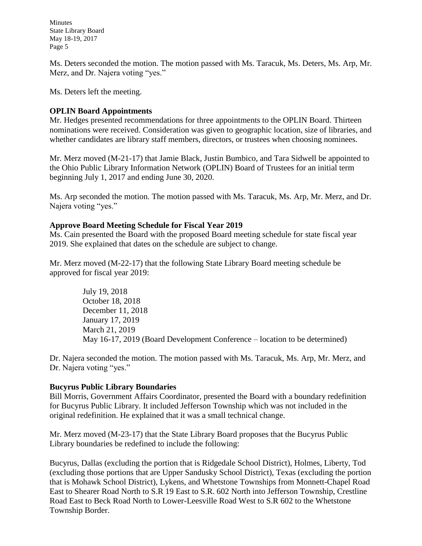Ms. Deters seconded the motion. The motion passed with Ms. Taracuk, Ms. Deters, Ms. Arp, Mr. Merz, and Dr. Najera voting "yes."

Ms. Deters left the meeting.

# **OPLIN Board Appointments**

Mr. Hedges presented recommendations for three appointments to the OPLIN Board. Thirteen nominations were received. Consideration was given to geographic location, size of libraries, and whether candidates are library staff members, directors, or trustees when choosing nominees.

Mr. Merz moved (M-21-17) that Jamie Black, Justin Bumbico, and Tara Sidwell be appointed to the Ohio Public Library Information Network (OPLIN) Board of Trustees for an initial term beginning July 1, 2017 and ending June 30, 2020.

Ms. Arp seconded the motion. The motion passed with Ms. Taracuk, Ms. Arp, Mr. Merz, and Dr. Najera voting "yes."

# **Approve Board Meeting Schedule for Fiscal Year 2019**

Ms. Cain presented the Board with the proposed Board meeting schedule for state fiscal year 2019. She explained that dates on the schedule are subject to change.

Mr. Merz moved (M-22-17) that the following State Library Board meeting schedule be approved for fiscal year 2019:

> July 19, 2018 October 18, 2018 December 11, 2018 January 17, 2019 March 21, 2019 May 16-17, 2019 (Board Development Conference – location to be determined)

Dr. Najera seconded the motion. The motion passed with Ms. Taracuk, Ms. Arp, Mr. Merz, and Dr. Najera voting "yes."

# **Bucyrus Public Library Boundaries**

Bill Morris, Government Affairs Coordinator, presented the Board with a boundary redefinition for Bucyrus Public Library. It included Jefferson Township which was not included in the original redefinition. He explained that it was a small technical change.

Mr. Merz moved (M-23-17) that the State Library Board proposes that the Bucyrus Public Library boundaries be redefined to include the following:

Bucyrus, Dallas (excluding the portion that is Ridgedale School District), Holmes, Liberty, Tod (excluding those portions that are Upper Sandusky School District), Texas (excluding the portion that is Mohawk School District), Lykens, and Whetstone Townships from Monnett-Chapel Road East to Shearer Road North to S.R 19 East to S.R. 602 North into Jefferson Township, Crestline Road East to Beck Road North to Lower-Leesville Road West to S.R 602 to the Whetstone Township Border.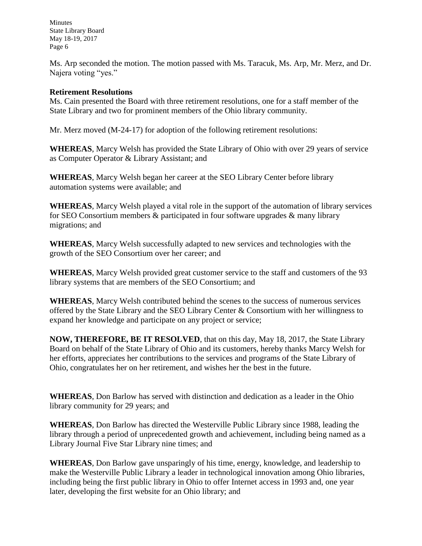Ms. Arp seconded the motion. The motion passed with Ms. Taracuk, Ms. Arp, Mr. Merz, and Dr. Najera voting "yes."

### **Retirement Resolutions**

Ms. Cain presented the Board with three retirement resolutions, one for a staff member of the State Library and two for prominent members of the Ohio library community.

Mr. Merz moved (M-24-17) for adoption of the following retirement resolutions:

**WHEREAS**, Marcy Welsh has provided the State Library of Ohio with over 29 years of service as Computer Operator & Library Assistant; and

**WHEREAS**, Marcy Welsh began her career at the SEO Library Center before library automation systems were available; and

**WHEREAS**, Marcy Welsh played a vital role in the support of the automation of library services for SEO Consortium members & participated in four software upgrades & many library migrations; and

**WHEREAS**, Marcy Welsh successfully adapted to new services and technologies with the growth of the SEO Consortium over her career; and

**WHEREAS**, Marcy Welsh provided great customer service to the staff and customers of the 93 library systems that are members of the SEO Consortium; and

**WHEREAS**, Marcy Welsh contributed behind the scenes to the success of numerous services offered by the State Library and the SEO Library Center & Consortium with her willingness to expand her knowledge and participate on any project or service;

**NOW, THEREFORE, BE IT RESOLVED**, that on this day, May 18, 2017, the State Library Board on behalf of the State Library of Ohio and its customers, hereby thanks Marcy Welsh for her efforts, appreciates her contributions to the services and programs of the State Library of Ohio, congratulates her on her retirement, and wishes her the best in the future.

**WHEREAS**, Don Barlow has served with distinction and dedication as a leader in the Ohio library community for 29 years; and

**WHEREAS**, Don Barlow has directed the Westerville Public Library since 1988, leading the library through a period of unprecedented growth and achievement, including being named as a Library Journal Five Star Library nine times; and

**WHEREAS**, Don Barlow gave unsparingly of his time, energy, knowledge, and leadership to make the Westerville Public Library a leader in technological innovation among Ohio libraries, including being the first public library in Ohio to offer Internet access in 1993 and, one year later, developing the first website for an Ohio library; and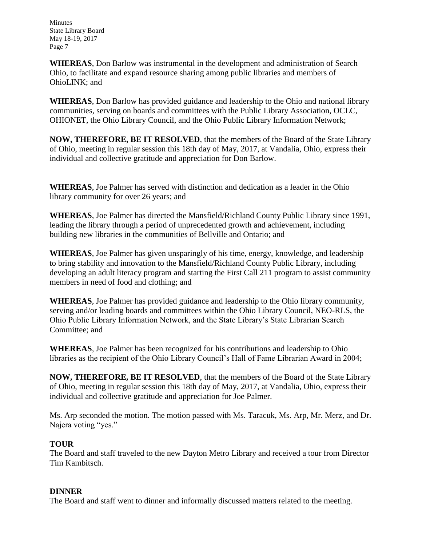**WHEREAS**, Don Barlow was instrumental in the development and administration of Search Ohio, to facilitate and expand resource sharing among public libraries and members of OhioLINK; and

**WHEREAS**, Don Barlow has provided guidance and leadership to the Ohio and national library communities, serving on boards and committees with the Public Library Association, OCLC, OHIONET, the Ohio Library Council, and the Ohio Public Library Information Network;

**NOW, THEREFORE, BE IT RESOLVED**, that the members of the Board of the State Library of Ohio, meeting in regular session this 18th day of May, 2017, at Vandalia, Ohio, express their individual and collective gratitude and appreciation for Don Barlow.

**WHEREAS**, Joe Palmer has served with distinction and dedication as a leader in the Ohio library community for over 26 years; and

**WHEREAS**, Joe Palmer has directed the Mansfield/Richland County Public Library since 1991, leading the library through a period of unprecedented growth and achievement, including building new libraries in the communities of Bellville and Ontario; and

**WHEREAS**, Joe Palmer has given unsparingly of his time, energy, knowledge, and leadership to bring stability and innovation to the Mansfield/Richland County Public Library, including developing an adult literacy program and starting the First Call 211 program to assist community members in need of food and clothing; and

**WHEREAS**, Joe Palmer has provided guidance and leadership to the Ohio library community, serving and/or leading boards and committees within the Ohio Library Council, NEO-RLS, the Ohio Public Library Information Network, and the State Library's State Librarian Search Committee; and

**WHEREAS**, Joe Palmer has been recognized for his contributions and leadership to Ohio libraries as the recipient of the Ohio Library Council's Hall of Fame Librarian Award in 2004;

**NOW, THEREFORE, BE IT RESOLVED**, that the members of the Board of the State Library of Ohio, meeting in regular session this 18th day of May, 2017, at Vandalia, Ohio, express their individual and collective gratitude and appreciation for Joe Palmer.

Ms. Arp seconded the motion. The motion passed with Ms. Taracuk, Ms. Arp, Mr. Merz, and Dr. Najera voting "yes."

# **TOUR**

The Board and staff traveled to the new Dayton Metro Library and received a tour from Director Tim Kambitsch.

# **DINNER**

The Board and staff went to dinner and informally discussed matters related to the meeting.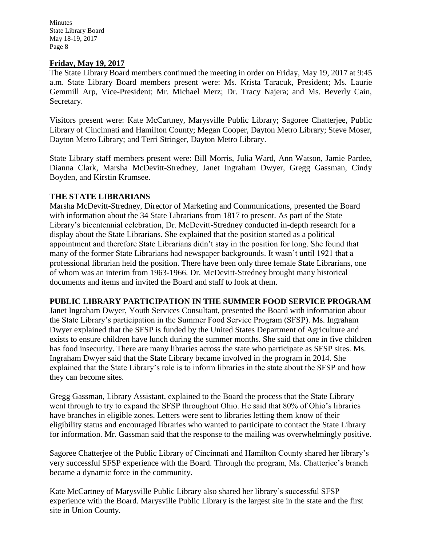### **Friday, May 19, 2017**

The State Library Board members continued the meeting in order on Friday, May 19, 2017 at 9:45 a.m. State Library Board members present were: Ms. Krista Taracuk, President; Ms. Laurie Gemmill Arp, Vice-President; Mr. Michael Merz; Dr. Tracy Najera; and Ms. Beverly Cain, Secretary.

Visitors present were: Kate McCartney, Marysville Public Library; Sagoree Chatterjee, Public Library of Cincinnati and Hamilton County; Megan Cooper, Dayton Metro Library; Steve Moser, Dayton Metro Library; and Terri Stringer, Dayton Metro Library.

State Library staff members present were: Bill Morris, Julia Ward, Ann Watson, Jamie Pardee, Dianna Clark, Marsha McDevitt-Stredney, Janet Ingraham Dwyer, Gregg Gassman, Cindy Boyden, and Kirstin Krumsee.

### **THE STATE LIBRARIANS**

Marsha McDevitt-Stredney, Director of Marketing and Communications, presented the Board with information about the 34 State Librarians from 1817 to present. As part of the State Library's bicentennial celebration, Dr. McDevitt-Stredney conducted in-depth research for a display about the State Librarians. She explained that the position started as a political appointment and therefore State Librarians didn't stay in the position for long. She found that many of the former State Librarians had newspaper backgrounds. It wasn't until 1921 that a professional librarian held the position. There have been only three female State Librarians, one of whom was an interim from 1963-1966. Dr. McDevitt-Stredney brought many historical documents and items and invited the Board and staff to look at them.

### **PUBLIC LIBRARY PARTICIPATION IN THE SUMMER FOOD SERVICE PROGRAM**

Janet Ingraham Dwyer, Youth Services Consultant, presented the Board with information about the State Library's participation in the Summer Food Service Program (SFSP). Ms. Ingraham Dwyer explained that the SFSP is funded by the United States Department of Agriculture and exists to ensure children have lunch during the summer months. She said that one in five children has food insecurity. There are many libraries across the state who participate as SFSP sites. Ms. Ingraham Dwyer said that the State Library became involved in the program in 2014. She explained that the State Library's role is to inform libraries in the state about the SFSP and how they can become sites.

Gregg Gassman, Library Assistant, explained to the Board the process that the State Library went through to try to expand the SFSP throughout Ohio. He said that 80% of Ohio's libraries have branches in eligible zones. Letters were sent to libraries letting them know of their eligibility status and encouraged libraries who wanted to participate to contact the State Library for information. Mr. Gassman said that the response to the mailing was overwhelmingly positive.

Sagoree Chatterjee of the Public Library of Cincinnati and Hamilton County shared her library's very successful SFSP experience with the Board. Through the program, Ms. Chatterjee's branch became a dynamic force in the community.

Kate McCartney of Marysville Public Library also shared her library's successful SFSP experience with the Board. Marysville Public Library is the largest site in the state and the first site in Union County.